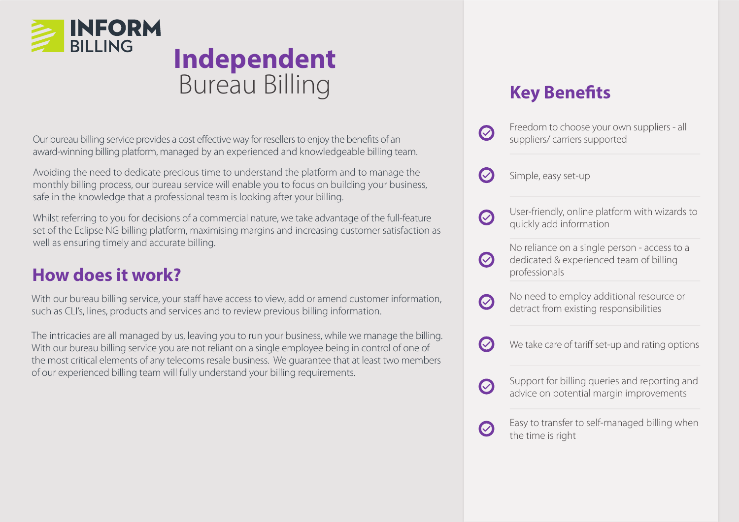

## **Independent**  Bureau Billing

Our bureau billing service provides a cost effective way for resellers to enjoy the benefits of an award-winning billing platform, managed by an experienced and knowledgeable billing team.

Avoiding the need to dedicate precious time to understand the platform and to manage the monthly billing process, our bureau service will enable you to focus on building your business, safe in the knowledge that a professional team is looking after your billing.

Whilst referring to you for decisions of a commercial nature, we take advantage of the full-feature set of the Eclipse NG billing platform, maximising margins and increasing customer satisfaction as well as ensuring timely and accurate billing.

## **How does it work?**

With our bureau billing service, your staff have access to view, add or amend customer information, such as CLI's, lines, products and services and to review previous billing information.

The intricacies are all managed by us, leaving you to run your business, while we manage the billing. With our bureau billing service you are not reliant on a single employee being in control of one of the most critical elements of any telecoms resale business. We guarantee that at least two members of our experienced billing team will fully understand your billing requirements.

## **Key Benefits**